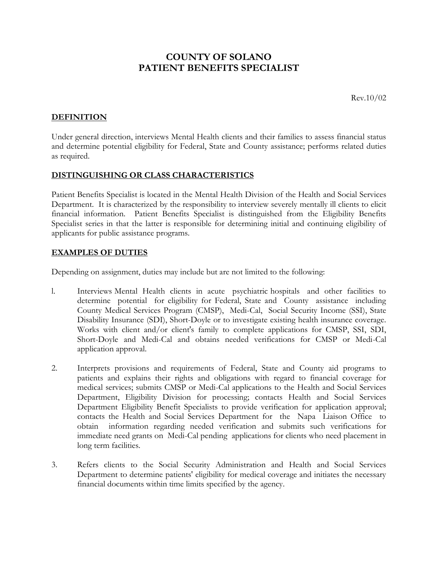# **COUNTY OF SOLANO PATIENT BENEFITS SPECIALIST**

Rev.10/02

## **DEFINITION**

Under general direction, interviews Mental Health clients and their families to assess financial status and determine potential eligibility for Federal, State and County assistance; performs related duties as required.

## **DISTINGUISHING OR CLASS CHARACTERISTICS**

Patient Benefits Specialist is located in the Mental Health Division of the Health and Social Services Department. It is characterized by the responsibility to interview severely mentally ill clients to elicit financial information. Patient Benefits Specialist is distinguished from the Eligibility Benefits Specialist series in that the latter is responsible for determining initial and continuing eligibility of applicants for public assistance programs.

### **EXAMPLES OF DUTIES**

Depending on assignment, duties may include but are not limited to the following:

- l. Interviews Mental Health clients in acute psychiatric hospitals and other facilities to determine potential for eligibility for Federal, State and County assistance including County Medical Services Program (CMSP), Medi-Cal, Social Security Income (SSI), State Disability Insurance (SDI), Short-Doyle or to investigate existing health insurance coverage. Works with client and/or client's family to complete applications for CMSP, SSI, SDI, Short-Doyle and Medi-Cal and obtains needed verifications for CMSP or Medi-Cal application approval.
- 2. Interprets provisions and requirements of Federal, State and County aid programs to patients and explains their rights and obligations with regard to financial coverage for medical services; submits CMSP or Medi-Cal applications to the Health and Social Services Department, Eligibility Division for processing; contacts Health and Social Services Department Eligibility Benefit Specialists to provide verification for application approval; contacts the Health and Social Services Department for the Napa Liaison Office to obtain information regarding needed verification and submits such verifications for immediate need grants on Medi-Cal pending applications for clients who need placement in long term facilities.
- 3. Refers clients to the Social Security Administration and Health and Social Services Department to determine patients' eligibility for medical coverage and initiates the necessary financial documents within time limits specified by the agency.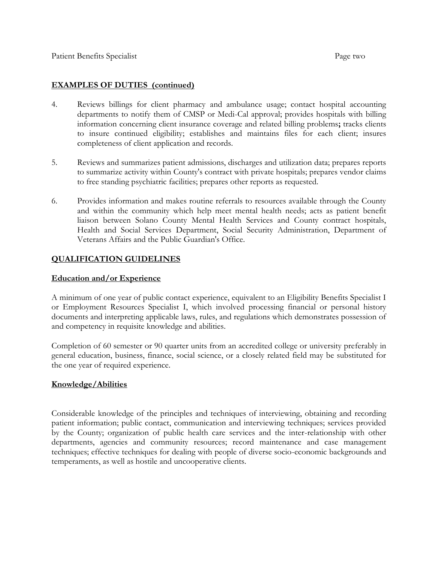## **EXAMPLES OF DUTIES (continued)**

- 4. Reviews billings for client pharmacy and ambulance usage; contact hospital accounting departments to notify them of CMSP or Medi-Cal approval; provides hospitals with billing information concerning client insurance coverage and related billing problems**;** tracks clients to insure continued eligibility; establishes and maintains files for each client; insures completeness of client application and records.
- 5. Reviews and summarizes patient admissions, discharges and utilization data; prepares reports to summarize activity within County's contract with private hospitals; prepares vendor claims to free standing psychiatric facilities; prepares other reports as requested.
- 6. Provides information and makes routine referrals to resources available through the County and within the community which help meet mental health needs; acts as patient benefit liaison between Solano County Mental Health Services and County contract hospitals, Health and Social Services Department, Social Security Administration, Department of Veterans Affairs and the Public Guardian's Office.

## **QUALIFICATION GUIDELINES**

### **Education and/or Experience**

A minimum of one year of public contact experience, equivalent to an Eligibility Benefits Specialist I or Employment Resources Specialist I, which involved processing financial or personal history documents and interpreting applicable laws, rules, and regulations which demonstrates possession of and competency in requisite knowledge and abilities.

Completion of 60 semester or 90 quarter units from an accredited college or university preferably in general education, business, finance, social science, or a closely related field may be substituted for the one year of required experience.

#### **Knowledge/Abilities**

Considerable knowledge of the principles and techniques of interviewing, obtaining and recording patient information; public contact, communication and interviewing techniques; services provided by the County; organization of public health care services and the inter-relationship with other departments, agencies and community resources; record maintenance and case management techniques; effective techniques for dealing with people of diverse socio-economic backgrounds and temperaments, as well as hostile and uncooperative clients.